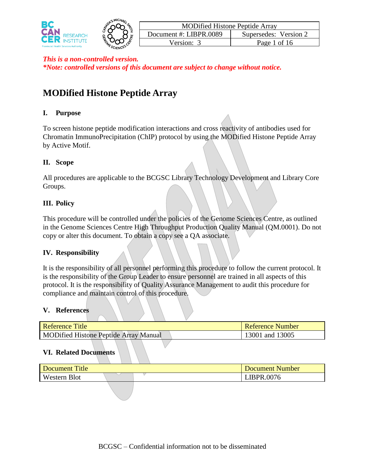

# **MODified Histone Peptide Array**

# **I. Purpose**

To screen histone peptide modification interactions and cross reactivity of antibodies used for Chromatin ImmunoPrecipitation (ChIP) protocol by using the MODified Histone Peptide Array by Active Motif.

# **II. Scope**

All procedures are applicable to the BCGSC Library Technology Development and Library Core Groups.

# **III. Policy**

This procedure will be controlled under the policies of the Genome Sciences Centre, as outlined in the Genome Sciences Centre High Throughput Production Quality Manual (QM.0001). Do not copy or alter this document. To obtain a copy see a QA associate.

### **IV. Responsibility**

It is the responsibility of all personnel performing this procedure to follow the current protocol. It is the responsibility of the Group Leader to ensure personnel are trained in all aspects of this protocol. It is the responsibility of Quality Assurance Management to audit this procedure for compliance and maintain control of this procedure.

### **V. References**

| Reference Title                              |  |  |  |  | <b>Reference Number</b> |
|----------------------------------------------|--|--|--|--|-------------------------|
| <b>MODified Histone Peptide Array Manual</b> |  |  |  |  | 13001 and 13005         |

### **VI. Related Documents**

| Title<br>Document      |  | Document Number |
|------------------------|--|-----------------|
| <b>Blot</b><br>Western |  | LIBPR.0076      |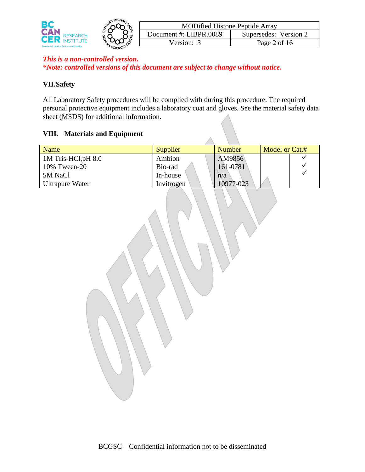

# **VII.Safety**

All Laboratory Safety procedures will be complied with during this procedure. The required personal protective equipment includes a laboratory coat and gloves. See the material safety data sheet (MSDS) for additional information.

### **VIII. Materials and Equipment**

| <b>Name</b>                 | Supplier   | Number    | Model or Cat.# |
|-----------------------------|------------|-----------|----------------|
| $\vert$ 1M Tris-HCl, pH 8.0 | Ambion     | AM9856    |                |
| 10% Tween-20                | Bio-rad    | 161-0781  |                |
| 5M NaCl                     | In-house   | n/a       |                |
| Ultrapure Water             | Invitrogen | 10977-023 |                |

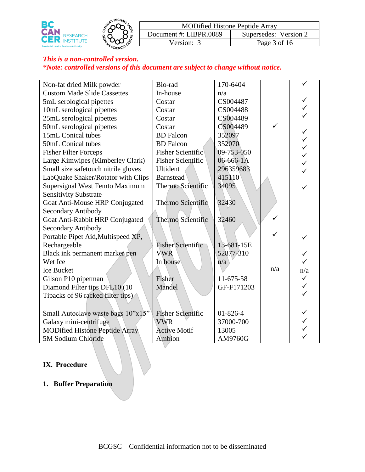



| <b>MODified Histone Peptide Array</b> |                       |
|---------------------------------------|-----------------------|
| Document #: LIBPR.0089                | Supersedes: Version 2 |
| Version: 3                            | Page 3 of 16          |

| Non-fat dried Milk powder             | Bio-rad                  | 170-6404       |              |     |
|---------------------------------------|--------------------------|----------------|--------------|-----|
| <b>Custom Made Slide Cassettes</b>    | In-house                 | n/a            |              |     |
| 5mL serological pipettes              | Costar                   | CS004487       |              |     |
| 10mL serological pipettes             | Costar                   | CS004488       |              |     |
| 25mL serological pipettes             | Costar                   | CS004489       |              |     |
| 50mL serological pipettes             | Costar                   | CS004489       | ✓            |     |
| 15mL Conical tubes                    | <b>BD</b> Falcon         | 352097         |              |     |
| 50mL Conical tubes                    | <b>BD</b> Falcon         | 352070         |              |     |
| <b>Fisher Filter Forceps</b>          | <b>Fisher Scientific</b> | 09-753-050     |              |     |
| Large Kimwipes (Kimberley Clark)      | <b>Fisher Scientific</b> | 06-666-1A      |              |     |
| Small size safetouch nitrile gloves   | Ultident                 | 296359683      |              |     |
| LabQuake Shaker/Rotator with Clips    | <b>Barnstead</b>         | 415110         |              |     |
| Supersignal West Femto Maximum        | Thermo Scientific        | 34095          |              |     |
| <b>Sensitivity Substrate</b>          |                          |                |              |     |
| Goat Anti-Mouse HRP Conjugated        | Thermo Scientific        | 32430          |              |     |
| <b>Secondary Antibody</b>             |                          |                |              |     |
| Goat Anti-Rabbit HRP Conjugated       | Thermo Scientific        | 32460          | $\checkmark$ |     |
| <b>Secondary Antibody</b>             |                          |                |              |     |
| Portable Pipet Aid, Multispeed XP,    |                          |                |              |     |
| Rechargeable                          | <b>Fisher Scientific</b> | 13-681-15E     |              |     |
| Black ink permanent marker pen        | <b>VWR</b>               | 52877-310      |              |     |
| Wet Ice                               | In house                 | n/a            |              |     |
| <b>Ice Bucket</b>                     |                          |                | n/a          | n/a |
| Gilson P10 pipetman                   | Fisher                   | 11-675-58      |              |     |
| Diamond Filter tips DFL10 (10         | Mandel                   | GF-F171203     |              |     |
| Tipacks of 96 racked filter tips)     |                          |                |              |     |
|                                       |                          |                |              |     |
| Small Autoclave waste bags 10"x15"    | <b>Fisher Scientific</b> | $01 - 826 - 4$ |              |     |
| Galaxy mini-centrifuge                | <b>VWR</b>               | 37000-700      |              |     |
| <b>MODified Histone Peptide Array</b> | <b>Active Motif</b>      | 13005          |              |     |
| 5M Sodium Chloride                    | Ambion                   | AM9760G        |              |     |
|                                       |                          |                |              |     |

## **IX. Procedure**

**1. Buffer Preparation**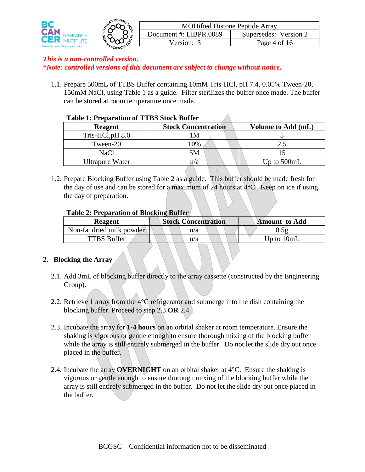

1.1. Prepare 500mL of TTBS Buffer containing 10mM Tris-HCl, pH 7.4, 0.05% Tween-20, 150mM NaCl, using Table 1 as a guide. Filter sterilizes the buffer once made. The buffer can be stored at room temperature once made.

|                        | <b>Table 1: Preparation of TIBS Stock Builer</b> |                    |  |  |  |
|------------------------|--------------------------------------------------|--------------------|--|--|--|
| Reagent                | <b>Stock Concentration</b>                       | Volume to Add (mL) |  |  |  |
| Tris-HCl, $pH$ 8.0     | 1 M                                              |                    |  |  |  |
| Tween-20               | 10%                                              | 2.5                |  |  |  |
| NaCl                   | 5Μ                                               |                    |  |  |  |
| <b>Ultrapure Water</b> | n/a                                              | Up to $500mL$      |  |  |  |

#### **Table 1: Preparation of TTBS Stock Buffer**

1.2. Prepare Blocking Buffer using Table 2 as a guide. This buffer should be made fresh for the day of use and can be stored for a maximum of 24 hours at  $4^{\circ}$ C. Keep on ice if using the day of preparation.

### **Table 2: Preparation of Blocking Buffer**

| <b>Reagent</b>            | <b>Stock Concentration</b> | <b>Amount</b> to Add |  |  |
|---------------------------|----------------------------|----------------------|--|--|
| Non-fat dried milk powder | n/a                        | 0.5g                 |  |  |
| TTBS Buffer               | n/a                        | Up to $10mL$         |  |  |

### **2. Blocking the Array**

- 2.1. Add 3mL of blocking buffer directly to the array cassette (constructed by the Engineering Group).
- 2.2. Retrieve 1 array from the 4°C refrigerator and submerge into the dish containing the blocking buffer. Proceed to step 2.3 **OR** 2.4.
- 2.3. Incubate the array for **1-4 hours** on an orbital shaker at room temperature. Ensure the shaking is vigorous or gentle enough to ensure thorough mixing of the blocking buffer while the array is still entirely submerged in the buffer. Do not let the slide dry out once placed in the buffer.
- 2.4. Incubate the array **OVERNIGHT** on an orbital shaker at 4°C. Ensure the shaking is vigorous or gentle enough to ensure thorough mixing of the blocking buffer while the array is still entirely submerged in the buffer. Do not let the slide dry out once placed in the buffer.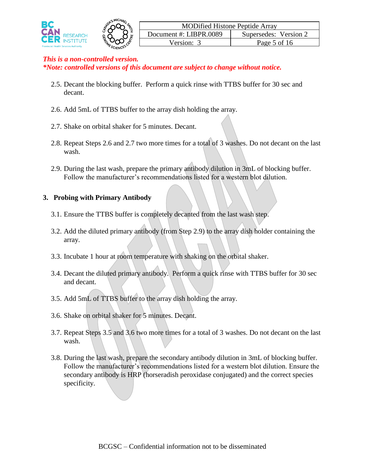

- 2.5. Decant the blocking buffer. Perform a quick rinse with TTBS buffer for 30 sec and decant.
- 2.6. Add 5mL of TTBS buffer to the array dish holding the array.
- 2.7. Shake on orbital shaker for 5 minutes. Decant.
- 2.8. Repeat Steps 2.6 and 2.7 two more times for a total of 3 washes. Do not decant on the last wash.
- 2.9. During the last wash, prepare the primary antibody dilution in 3mL of blocking buffer. Follow the manufacturer's recommendations listed for a western blot dilution.

#### **3. Probing with Primary Antibody**

- 3.1. Ensure the TTBS buffer is completely decanted from the last wash step.
- 3.2. Add the diluted primary antibody (from Step 2.9) to the array dish holder containing the array.
- 3.3. Incubate 1 hour at room temperature with shaking on the orbital shaker.
- 3.4. Decant the diluted primary antibody. Perform a quick rinse with TTBS buffer for 30 sec and decant.
- 3.5. Add 5mL of TTBS buffer to the array dish holding the array.
- 3.6. Shake on orbital shaker for 5 minutes. Decant.
- 3.7. Repeat Steps 3.5 and 3.6 two more times for a total of 3 washes. Do not decant on the last wash.
- 3.8. During the last wash, prepare the secondary antibody dilution in 3mL of blocking buffer. Follow the manufacturer's recommendations listed for a western blot dilution. Ensure the secondary antibody is HRP (horseradish peroxidase conjugated) and the correct species specificity.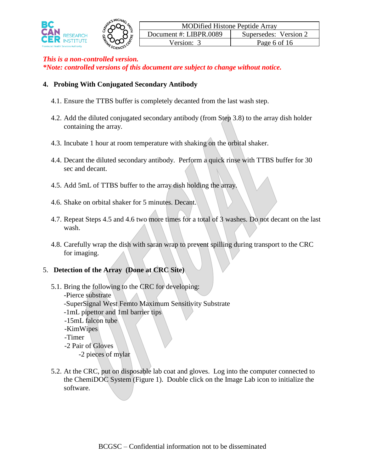

### **4. Probing With Conjugated Secondary Antibody**

- 4.1. Ensure the TTBS buffer is completely decanted from the last wash step.
- 4.2. Add the diluted conjugated secondary antibody (from Step 3.8) to the array dish holder containing the array.
- 4.3. Incubate 1 hour at room temperature with shaking on the orbital shaker.
- 4.4. Decant the diluted secondary antibody. Perform a quick rinse with TTBS buffer for 30 sec and decant.
- 4.5. Add 5mL of TTBS buffer to the array dish holding the array.
- 4.6. Shake on orbital shaker for 5 minutes. Decant.
- 4.7. Repeat Steps 4.5 and 4.6 two more times for a total of 3 washes. Do not decant on the last wash.
- 4.8. Carefully wrap the dish with saran wrap to prevent spilling during transport to the CRC for imaging.

# 5. **Detection of the Array (Done at CRC Site)**

- 5.1. Bring the following to the CRC for developing:
	- -Pierce substrate
	- -SuperSignal West Femto Maximum Sensitivity Substrate
	- -1mL pipettor and 1ml barrier tips
	- -15mL falcon tube
	- -KimWipes
	- -Timer
	- -2 Pair of Gloves
		- -2 pieces of mylar
- 5.2. At the CRC, put on disposable lab coat and gloves. Log into the computer connected to the ChemiDOC System (Figure 1). Double click on the Image Lab icon to initialize the software.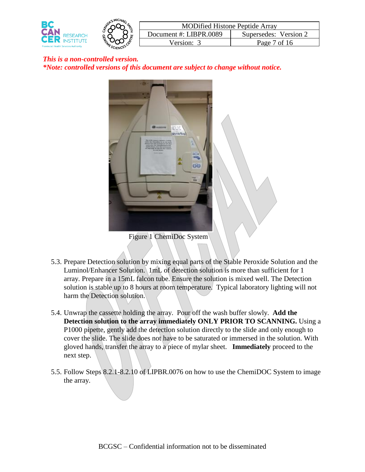



5.3. Prepare Detection solution by mixing equal parts of the Stable Peroxide Solution and the Luminol/Enhancer Solution. 1mL of detection solution is more than sufficient for 1 array. Prepare in a 15mL falcon tube. Ensure the solution is mixed well. The Detection solution is stable up to 8 hours at room temperature. Typical laboratory lighting will not harm the Detection solution.

- 5.4. Unwrap the cassette holding the array. Pour off the wash buffer slowly. **Add the Detection solution to the array immediately ONLY PRIOR TO SCANNING.** Using a P1000 pipette, gently add the detection solution directly to the slide and only enough to cover the slide. The slide does not have to be saturated or immersed in the solution. With gloved hands, transfer the array to a piece of mylar sheet. **Immediately** proceed to the next step.
- 5.5. Follow Steps 8.2.1-8.2.10 of LIPBR.0076 on how to use the ChemiDOC System to image the array.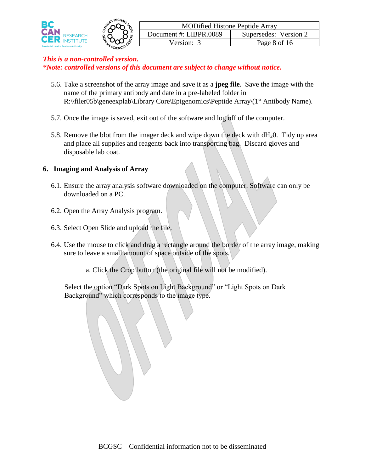

- 5.6. Take a screenshot of the array image and save it as a **jpeg file**. Save the image with the name of the primary antibody and date in a pre-labeled folder in R:\\filer05b\geneexplab\Library Core\Epigenomics\Peptide Array\(1° Antibody Name).
- 5.7. Once the image is saved, exit out of the software and log off of the computer.
- 5.8. Remove the blot from the imager deck and wipe down the deck with  $dH_20$ . Tidy up area and place all supplies and reagents back into transporting bag. Discard gloves and disposable lab coat.

# **6. Imaging and Analysis of Array**

- 6.1. Ensure the array analysis software downloaded on the computer. Software can only be downloaded on a PC.
- 6.2. Open the Array Analysis program.
- 6.3. Select Open Slide and upload the file.
- 6.4. Use the mouse to click and drag a rectangle around the border of the array image, making sure to leave a small amount of space outside of the spots.
	- a. Click the Crop button (the original file will not be modified).

Select the option "Dark Spots on Light Background" or "Light Spots on Dark Background" which corresponds to the image type.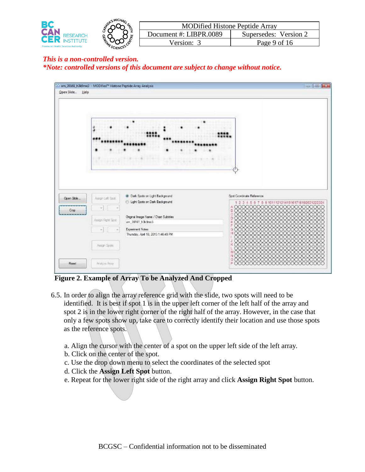

| Open Slide<br>Help | 33: am_39161_h3ldime3 - MODified <sup>ha</sup> Histone Peptide Array Analysis |                                                                                                                      | $\Box$ $\Box$                                                                                                                                |
|--------------------|-------------------------------------------------------------------------------|----------------------------------------------------------------------------------------------------------------------|----------------------------------------------------------------------------------------------------------------------------------------------|
|                    |                                                                               |                                                                                                                      |                                                                                                                                              |
| Open Side          | Assgri Left Spot                                                              | @ Dark Spots on Light Background<br>Ught Spots on Dark Background                                                    | Spot Coordinate Reference<br>1 2 3 4 5 6 7 8 9 101112121415161718192021222324                                                                |
| Crop               | Assign Right Spot<br>÷                                                        | Original Image Name / Chart Subtitles<br>an 39161 h3c9mo3<br>Experiment Notes<br>Thursday, April 18, 2013 1:46:49 PM | A 00000000000000000000000<br>00000000000000000000000<br>в<br>00000000000000000<br>00000000000000000<br>G<br>nono<br>HOO<br>m<br>x<br>nononon |
| Repail             | Asson Spots<br><b>Acabian Amny</b>                                            |                                                                                                                      | K00000000000000000<br>0000000000<br>MOOOOOOOOOOOOOOOOOOO<br>: 8888888888888888888<br>F0000000000000000000000000                              |

 **Figure 2. Example of Array To be Analyzed And Cropped**

6.5. In order to align the array reference grid with the slide, two spots will need to be identified. It is best if spot 1 is in the upper left corner of the left half of the array and spot 2 is in the lower right corner of the right half of the array. However, in the case that only a few spots show up, take care to correctly identify their location and use those spots as the reference spots.

a. Align the cursor with the center of a spot on the upper left side of the left array.

- b. Click on the center of the spot.
- c. Use the drop down menu to select the coordinates of the selected spot
- d. Click the **Assign Left Spot** button.
- e. Repeat for the lower right side of the right array and click **Assign Right Spot** button.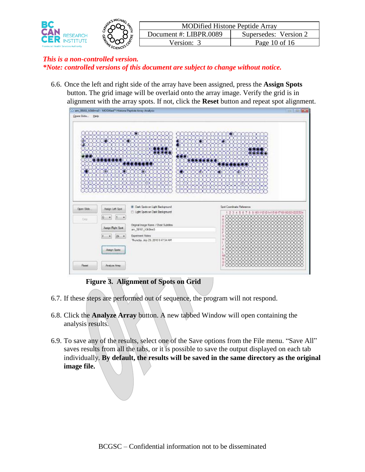

6.6. Once the left and right side of the array have been assigned, press the **Assign Spots** button. The grid image will be overlaid onto the array image. Verify the grid is in alignment with the array spots. If not, click the **Reset** button and repeat spot alignment.



**Figure 3. Alignment of Spots on Grid**

- 6.7. If these steps are performed out of sequence, the program will not respond.
- 6.8. Click the **Analyze Array** button. A new tabbed Window will open containing the analysis results.
- 6.9. To save any of the results, select one of the Save options from the File menu. "Save All" saves results from all the tabs, or it is possible to save the output displayed on each tab individually. **By default, the results will be saved in the same directory as the original image file.**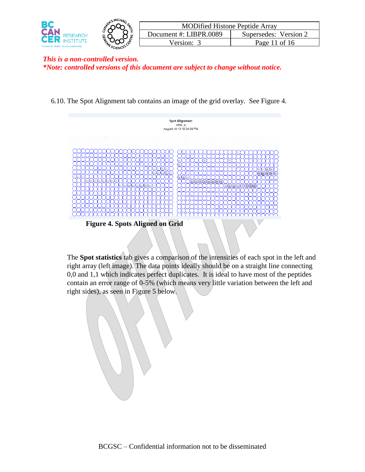

6.10. The Spot Alignment tab contains an image of the grid overlay. See Figure 4.



**Figure 4. Spots Aligned on Grid**

The **Spot statistics** tab gives a comparison of the intensities of each spot in the left and right array (left image). The data points ideally should be on a straight line connecting 0,0 and 1,1 which indicates perfect duplicates. It is ideal to have most of the peptides contain an error range of 0-5% (which means very little variation between the left and right sides), as seen in Figure 5 below.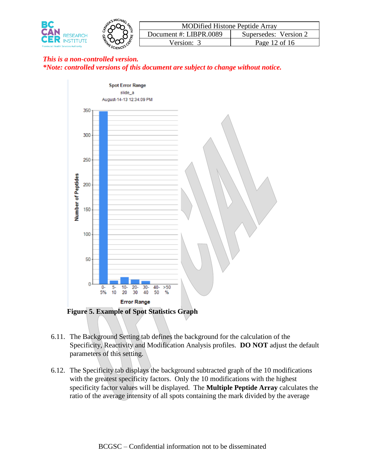



- 6.11. The Background Setting tab defines the background for the calculation of the Specificity, Reactivity and Modification Analysis profiles. **DO NOT** adjust the default parameters of this setting.
- 6.12. The Specificity tab displays the background subtracted graph of the 10 modifications with the greatest specificity factors. Only the 10 modifications with the highest specificity factor values will be displayed. The **Multiple Peptide Array** calculates the ratio of the average intensity of all spots containing the mark divided by the average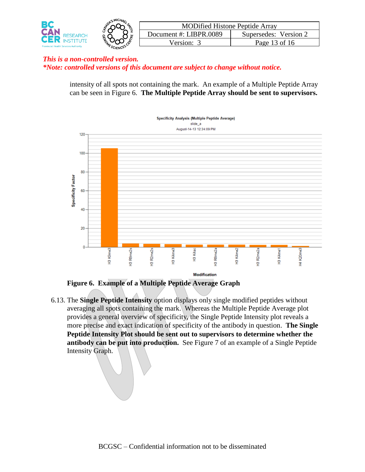

intensity of all spots not containing the mark. An example of a Multiple Peptide Array can be seen in Figure 6. **The Multiple Peptide Array should be sent to supervisors.**



**Figure 6. Example of a Multiple Peptide Average Graph**

6.13. The **Single Peptide Intensity** option displays only single modified peptides without averaging all spots containing the mark. Whereas the Multiple Peptide Average plot provides a general overview of specificity, the Single Peptide Intensity plot reveals a more precise and exact indication of specificity of the antibody in question. **The Single Peptide Intensity Plot should be sent out to supervisors to determine whether the antibody can be put into production.** See Figure 7 of an example of a Single Peptide Intensity Graph.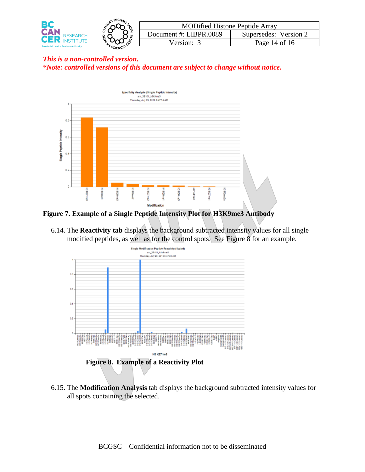



### **Figure 7. Example of a Single Peptide Intensity Plot for H3K9me3 Antibody**

6.14. The **Reactivity tab** displays the background subtracted intensity values for all single modified peptides, as well as for the control spots. See Figure 8 for an example.



6.15. The **Modification Analysis** tab displays the background subtracted intensity values for all spots containing the selected.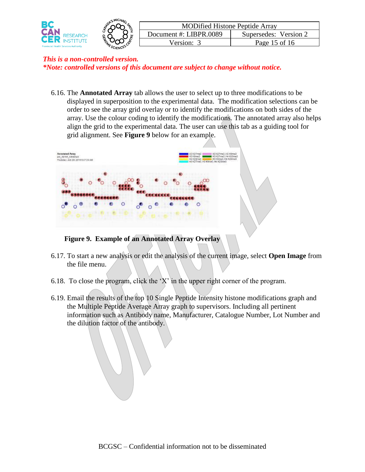

6.16. The **Annotated Array** tab allows the user to select up to three modifications to be displayed in superposition to the experimental data. The modification selections can be order to see the array grid overlay or to identify the modifications on both sides of the array. Use the colour coding to identify the modifications. The annotated array also helps align the grid to the experimental data. The user can use this tab as a guiding tool for grid alignment. See **Figure 9** below for an example.



**Figure 9. Example of an Annotated Array Overlay**

- 6.17. To start a new analysis or edit the analysis of the current image, select **Open Image** from the file menu.
- 6.18. To close the program, click the 'X' in the upper right corner of the program.
- 6.19. Email the results of the top 10 Single Peptide Intensity histone modifications graph and the Multiple Peptide Average Array graph to supervisors. Including all pertinent information such as Antibody name, Manufacturer, Catalogue Number, Lot Number and the dilution factor of the antibody.